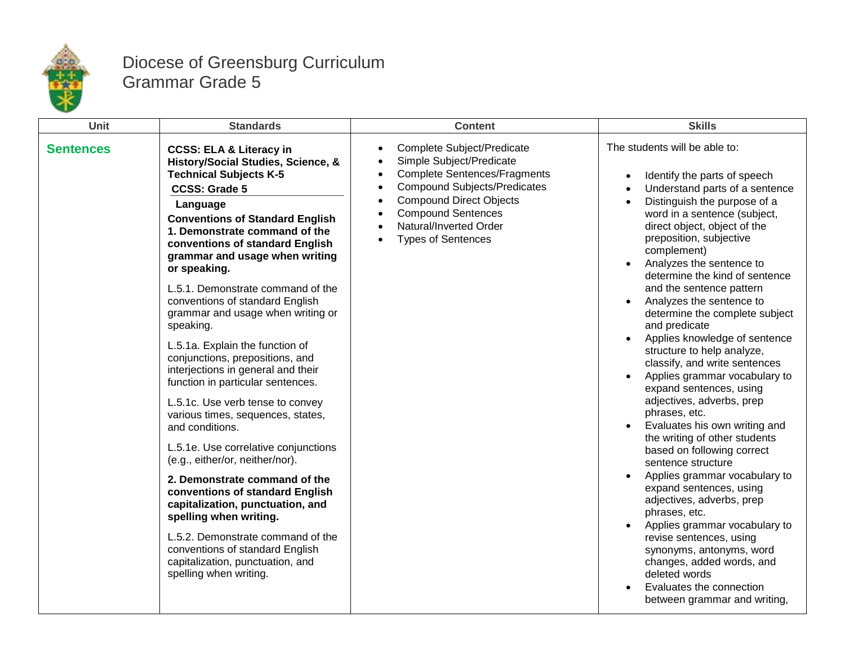

## Diocese of Greensburg Curriculum Grammar Grade 5

| Unit             | <b>Standards</b>                                                                                                                                                                                                                                                                                                                                                                                                                                                                                                                                                                         | <b>Content</b>                                                                                                                                                                                                                                                                              | <b>Skills</b>                                                                                                                                                                                                                                                                                                                                                                                                                                                                                                                                                    |
|------------------|------------------------------------------------------------------------------------------------------------------------------------------------------------------------------------------------------------------------------------------------------------------------------------------------------------------------------------------------------------------------------------------------------------------------------------------------------------------------------------------------------------------------------------------------------------------------------------------|---------------------------------------------------------------------------------------------------------------------------------------------------------------------------------------------------------------------------------------------------------------------------------------------|------------------------------------------------------------------------------------------------------------------------------------------------------------------------------------------------------------------------------------------------------------------------------------------------------------------------------------------------------------------------------------------------------------------------------------------------------------------------------------------------------------------------------------------------------------------|
| <b>Sentences</b> | <b>CCSS: ELA &amp; Literacy in</b><br>History/Social Studies, Science, &<br><b>Technical Subjects K-5</b><br><b>CCSS: Grade 5</b><br>Language<br><b>Conventions of Standard English</b><br>1. Demonstrate command of the<br>conventions of standard English<br>grammar and usage when writing<br>or speaking.<br>L.5.1. Demonstrate command of the<br>conventions of standard English<br>grammar and usage when writing or<br>speaking.<br>L.5.1a. Explain the function of<br>conjunctions, prepositions, and<br>interjections in general and their<br>function in particular sentences. | <b>Complete Subject/Predicate</b><br>Simple Subject/Predicate<br><b>Complete Sentences/Fragments</b><br>$\bullet$<br><b>Compound Subjects/Predicates</b><br><b>Compound Direct Objects</b><br>$\bullet$<br><b>Compound Sentences</b><br>Natural/Inverted Order<br><b>Types of Sentences</b> | The students will be able to:<br>Identify the parts of speech<br>Understand parts of a sentence<br>Distinguish the purpose of a<br>$\bullet$<br>word in a sentence (subject,<br>direct object, object of the<br>preposition, subjective<br>complement)<br>Analyzes the sentence to<br>determine the kind of sentence<br>and the sentence pattern<br>Analyzes the sentence to<br>determine the complete subject<br>and predicate<br>Applies knowledge of sentence<br>structure to help analyze,<br>classify, and write sentences<br>Applies grammar vocabulary to |
|                  | L.5.1c. Use verb tense to convey<br>various times, sequences, states,<br>and conditions.<br>L.5.1e. Use correlative conjunctions<br>(e.g., either/or, neither/nor).<br>2. Demonstrate command of the<br>conventions of standard English<br>capitalization, punctuation, and<br>spelling when writing.<br>L.5.2. Demonstrate command of the<br>conventions of standard English<br>capitalization, punctuation, and<br>spelling when writing.                                                                                                                                              |                                                                                                                                                                                                                                                                                             | expand sentences, using<br>adjectives, adverbs, prep<br>phrases, etc.<br>Evaluates his own writing and<br>the writing of other students<br>based on following correct<br>sentence structure<br>Applies grammar vocabulary to<br>expand sentences, using<br>adjectives, adverbs, prep<br>phrases, etc.<br>Applies grammar vocabulary to<br>revise sentences, using<br>synonyms, antonyms, word<br>changes, added words, and<br>deleted words<br>Evaluates the connection<br>between grammar and writing,                                                          |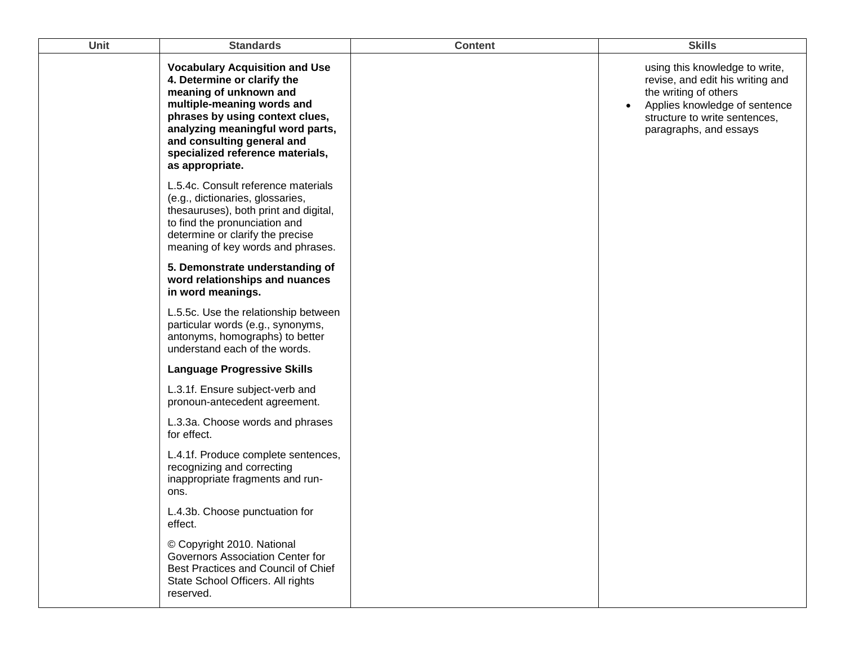| Unit | <b>Standards</b>                                                                                                                                                                                                                                                                         | <b>Content</b> | <b>Skills</b>                                                                                                                                                                           |
|------|------------------------------------------------------------------------------------------------------------------------------------------------------------------------------------------------------------------------------------------------------------------------------------------|----------------|-----------------------------------------------------------------------------------------------------------------------------------------------------------------------------------------|
|      | <b>Vocabulary Acquisition and Use</b><br>4. Determine or clarify the<br>meaning of unknown and<br>multiple-meaning words and<br>phrases by using context clues,<br>analyzing meaningful word parts,<br>and consulting general and<br>specialized reference materials,<br>as appropriate. |                | using this knowledge to write,<br>revise, and edit his writing and<br>the writing of others<br>Applies knowledge of sentence<br>structure to write sentences,<br>paragraphs, and essays |
|      | L.5.4c. Consult reference materials<br>(e.g., dictionaries, glossaries,<br>thesauruses), both print and digital,<br>to find the pronunciation and<br>determine or clarify the precise<br>meaning of key words and phrases.                                                               |                |                                                                                                                                                                                         |
|      | 5. Demonstrate understanding of<br>word relationships and nuances<br>in word meanings.                                                                                                                                                                                                   |                |                                                                                                                                                                                         |
|      | L.5.5c. Use the relationship between<br>particular words (e.g., synonyms,<br>antonyms, homographs) to better<br>understand each of the words.                                                                                                                                            |                |                                                                                                                                                                                         |
|      | <b>Language Progressive Skills</b>                                                                                                                                                                                                                                                       |                |                                                                                                                                                                                         |
|      | L.3.1f. Ensure subject-verb and<br>pronoun-antecedent agreement.                                                                                                                                                                                                                         |                |                                                                                                                                                                                         |
|      | L.3.3a. Choose words and phrases<br>for effect.                                                                                                                                                                                                                                          |                |                                                                                                                                                                                         |
|      | L.4.1f. Produce complete sentences,<br>recognizing and correcting<br>inappropriate fragments and run-<br>ons.                                                                                                                                                                            |                |                                                                                                                                                                                         |
|      | L.4.3b. Choose punctuation for<br>effect.                                                                                                                                                                                                                                                |                |                                                                                                                                                                                         |
|      | © Copyright 2010. National<br>Governors Association Center for<br>Best Practices and Council of Chief<br>State School Officers. All rights<br>reserved.                                                                                                                                  |                |                                                                                                                                                                                         |
|      |                                                                                                                                                                                                                                                                                          |                |                                                                                                                                                                                         |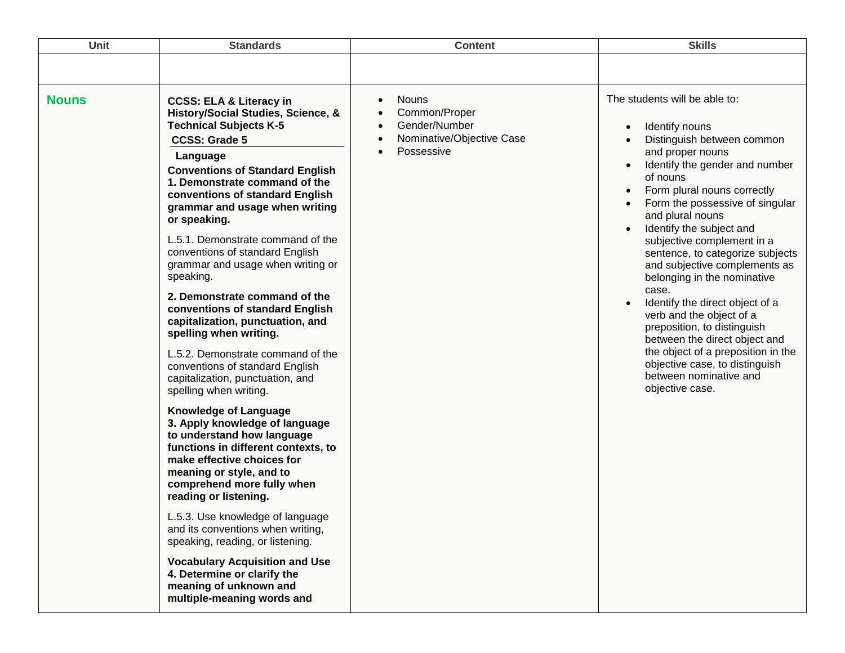| <b>Unit</b>  | <b>Standards</b>                                                                                                                                                                                                                                                                                                                                                                                                                                                                                                                                                                                                                                                                                                                                                                                                                                                                                                                                                                                                                                                                                                                                                                                                     | <b>Content</b>                                                                                                                   | <b>Skills</b>                                                                                                                                                                                                                                                                                                                                                                                                                                                                                                                                                                                                                                                                                                                     |
|--------------|----------------------------------------------------------------------------------------------------------------------------------------------------------------------------------------------------------------------------------------------------------------------------------------------------------------------------------------------------------------------------------------------------------------------------------------------------------------------------------------------------------------------------------------------------------------------------------------------------------------------------------------------------------------------------------------------------------------------------------------------------------------------------------------------------------------------------------------------------------------------------------------------------------------------------------------------------------------------------------------------------------------------------------------------------------------------------------------------------------------------------------------------------------------------------------------------------------------------|----------------------------------------------------------------------------------------------------------------------------------|-----------------------------------------------------------------------------------------------------------------------------------------------------------------------------------------------------------------------------------------------------------------------------------------------------------------------------------------------------------------------------------------------------------------------------------------------------------------------------------------------------------------------------------------------------------------------------------------------------------------------------------------------------------------------------------------------------------------------------------|
|              |                                                                                                                                                                                                                                                                                                                                                                                                                                                                                                                                                                                                                                                                                                                                                                                                                                                                                                                                                                                                                                                                                                                                                                                                                      |                                                                                                                                  |                                                                                                                                                                                                                                                                                                                                                                                                                                                                                                                                                                                                                                                                                                                                   |
| <b>Nouns</b> | <b>CCSS: ELA &amp; Literacy in</b><br>History/Social Studies, Science, &<br><b>Technical Subjects K-5</b><br><b>CCSS: Grade 5</b><br>Language<br><b>Conventions of Standard English</b><br>1. Demonstrate command of the<br>conventions of standard English<br>grammar and usage when writing<br>or speaking.<br>L.5.1. Demonstrate command of the<br>conventions of standard English<br>grammar and usage when writing or<br>speaking.<br>2. Demonstrate command of the<br>conventions of standard English<br>capitalization, punctuation, and<br>spelling when writing.<br>L.5.2. Demonstrate command of the<br>conventions of standard English<br>capitalization, punctuation, and<br>spelling when writing.<br><b>Knowledge of Language</b><br>3. Apply knowledge of language<br>to understand how language<br>functions in different contexts, to<br>make effective choices for<br>meaning or style, and to<br>comprehend more fully when<br>reading or listening.<br>L.5.3. Use knowledge of language<br>and its conventions when writing,<br>speaking, reading, or listening.<br><b>Vocabulary Acquisition and Use</b><br>4. Determine or clarify the<br>meaning of unknown and<br>multiple-meaning words and | <b>Nouns</b><br>Common/Proper<br>$\bullet$<br>Gender/Number<br>$\bullet$<br>Nominative/Objective Case<br>$\bullet$<br>Possessive | The students will be able to:<br>Identify nouns<br>$\bullet$<br>Distinguish between common<br>and proper nouns<br>Identify the gender and number<br>$\bullet$<br>of nouns<br>Form plural nouns correctly<br>$\bullet$<br>Form the possessive of singular<br>$\bullet$<br>and plural nouns<br>Identify the subject and<br>$\bullet$<br>subjective complement in a<br>sentence, to categorize subjects<br>and subjective complements as<br>belonging in the nominative<br>case.<br>Identify the direct object of a<br>verb and the object of a<br>preposition, to distinguish<br>between the direct object and<br>the object of a preposition in the<br>objective case, to distinguish<br>between nominative and<br>objective case. |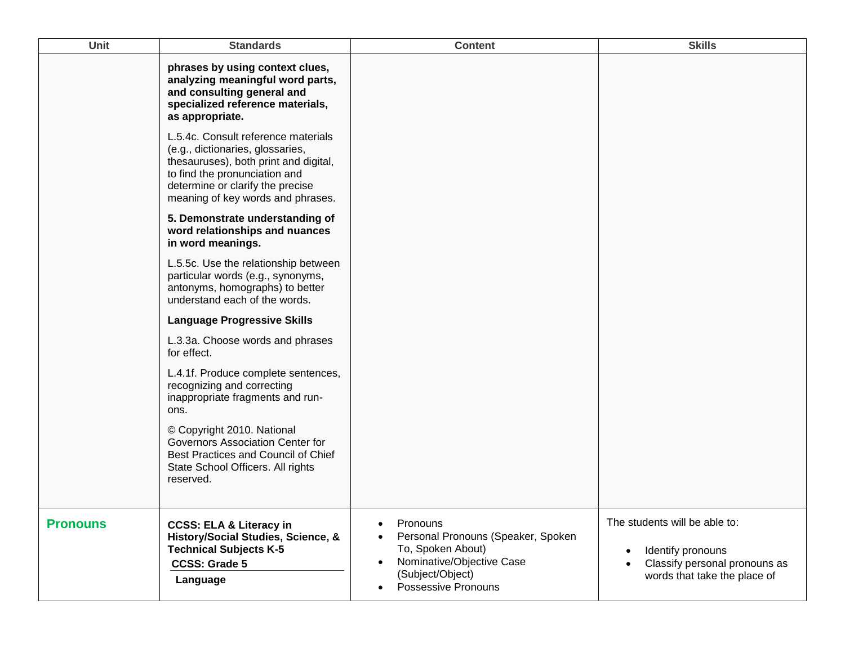| <b>Unit</b>     | <b>Standards</b>                                                                                                                                                                                                           | <b>Content</b>                                                                                                                                                        | <b>Skills</b>                                                                                                                    |
|-----------------|----------------------------------------------------------------------------------------------------------------------------------------------------------------------------------------------------------------------------|-----------------------------------------------------------------------------------------------------------------------------------------------------------------------|----------------------------------------------------------------------------------------------------------------------------------|
|                 | phrases by using context clues,<br>analyzing meaningful word parts,<br>and consulting general and<br>specialized reference materials,<br>as appropriate.                                                                   |                                                                                                                                                                       |                                                                                                                                  |
|                 | L.5.4c. Consult reference materials<br>(e.g., dictionaries, glossaries,<br>thesauruses), both print and digital,<br>to find the pronunciation and<br>determine or clarify the precise<br>meaning of key words and phrases. |                                                                                                                                                                       |                                                                                                                                  |
|                 | 5. Demonstrate understanding of<br>word relationships and nuances<br>in word meanings.                                                                                                                                     |                                                                                                                                                                       |                                                                                                                                  |
|                 | L.5.5c. Use the relationship between<br>particular words (e.g., synonyms,<br>antonyms, homographs) to better<br>understand each of the words.                                                                              |                                                                                                                                                                       |                                                                                                                                  |
|                 | <b>Language Progressive Skills</b>                                                                                                                                                                                         |                                                                                                                                                                       |                                                                                                                                  |
|                 | L.3.3a. Choose words and phrases<br>for effect.                                                                                                                                                                            |                                                                                                                                                                       |                                                                                                                                  |
|                 | L.4.1f. Produce complete sentences,<br>recognizing and correcting<br>inappropriate fragments and run-<br>ons.                                                                                                              |                                                                                                                                                                       |                                                                                                                                  |
|                 | © Copyright 2010. National<br>Governors Association Center for<br>Best Practices and Council of Chief<br>State School Officers. All rights<br>reserved.                                                                    |                                                                                                                                                                       |                                                                                                                                  |
| <b>Pronouns</b> | <b>CCSS: ELA &amp; Literacy in</b><br>History/Social Studies, Science, &<br><b>Technical Subjects K-5</b><br><b>CCSS: Grade 5</b><br>Language                                                                              | Pronouns<br>Personal Pronouns (Speaker, Spoken<br>To, Spoken About)<br>Nominative/Objective Case<br>$\bullet$<br>(Subject/Object)<br>Possessive Pronouns<br>$\bullet$ | The students will be able to:<br>Identify pronouns<br>$\bullet$<br>Classify personal pronouns as<br>words that take the place of |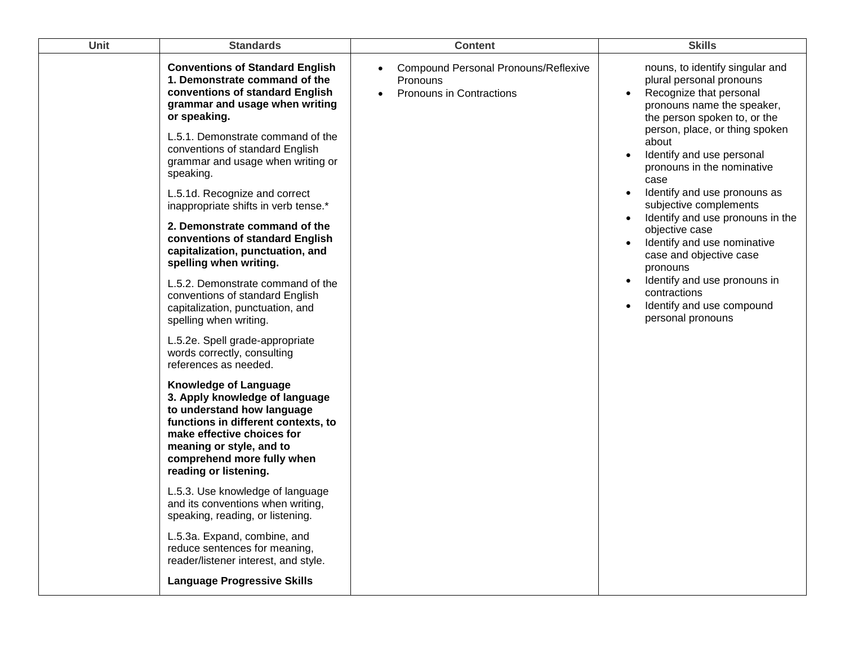| Unit | <b>Standards</b>                                                                                                                                                                                                                                     | <b>Content</b>                                                                             | <b>Skills</b>                                                                                                                                                                                       |
|------|------------------------------------------------------------------------------------------------------------------------------------------------------------------------------------------------------------------------------------------------------|--------------------------------------------------------------------------------------------|-----------------------------------------------------------------------------------------------------------------------------------------------------------------------------------------------------|
|      | <b>Conventions of Standard English</b><br>1. Demonstrate command of the<br>conventions of standard English<br>grammar and usage when writing<br>or speaking.                                                                                         | <b>Compound Personal Pronouns/Reflexive</b><br>Pronouns<br><b>Pronouns in Contractions</b> | nouns, to identify singular and<br>plural personal pronouns<br>Recognize that personal<br>$\bullet$<br>pronouns name the speaker,<br>the person spoken to, or the<br>person, place, or thing spoken |
|      | L.5.1. Demonstrate command of the<br>conventions of standard English<br>grammar and usage when writing or<br>speaking.                                                                                                                               |                                                                                            | about<br>Identify and use personal<br>pronouns in the nominative<br>case                                                                                                                            |
|      | L.5.1d. Recognize and correct<br>inappropriate shifts in verb tense.*                                                                                                                                                                                |                                                                                            | Identify and use pronouns as<br>$\bullet$<br>subjective complements                                                                                                                                 |
|      | 2. Demonstrate command of the<br>conventions of standard English<br>capitalization, punctuation, and<br>spelling when writing.                                                                                                                       |                                                                                            | Identify and use pronouns in the<br>$\bullet$<br>objective case<br>Identify and use nominative<br>$\bullet$<br>case and objective case<br>pronouns                                                  |
|      | L.5.2. Demonstrate command of the<br>conventions of standard English<br>capitalization, punctuation, and<br>spelling when writing.                                                                                                                   |                                                                                            | Identify and use pronouns in<br>$\bullet$<br>contractions<br>Identify and use compound<br>$\bullet$<br>personal pronouns                                                                            |
|      | L.5.2e. Spell grade-appropriate<br>words correctly, consulting<br>references as needed.                                                                                                                                                              |                                                                                            |                                                                                                                                                                                                     |
|      | <b>Knowledge of Language</b><br>3. Apply knowledge of language<br>to understand how language<br>functions in different contexts, to<br>make effective choices for<br>meaning or style, and to<br>comprehend more fully when<br>reading or listening. |                                                                                            |                                                                                                                                                                                                     |
|      | L.5.3. Use knowledge of language<br>and its conventions when writing,<br>speaking, reading, or listening.                                                                                                                                            |                                                                                            |                                                                                                                                                                                                     |
|      | L.5.3a. Expand, combine, and<br>reduce sentences for meaning,<br>reader/listener interest, and style.                                                                                                                                                |                                                                                            |                                                                                                                                                                                                     |
|      | <b>Language Progressive Skills</b>                                                                                                                                                                                                                   |                                                                                            |                                                                                                                                                                                                     |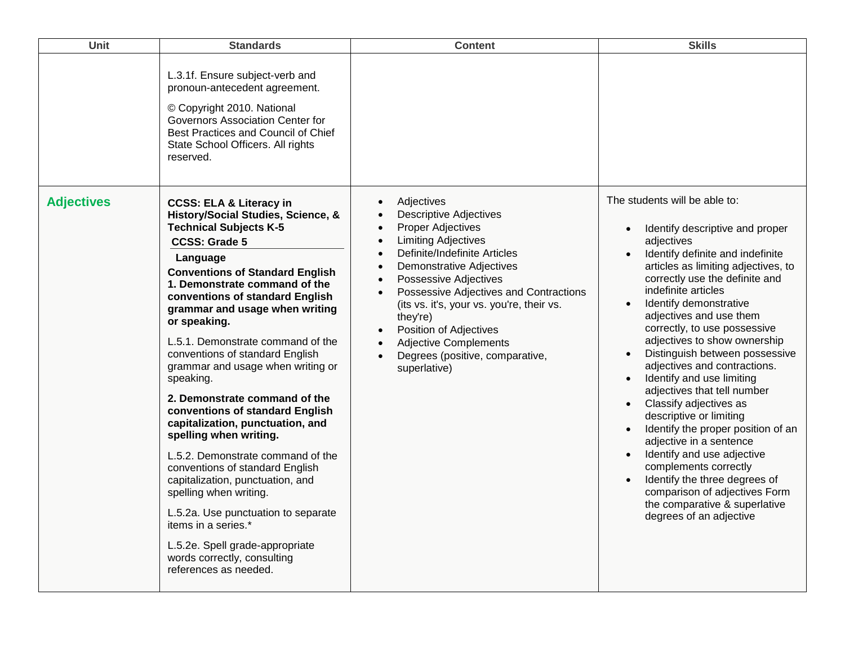| Unit              | <b>Standards</b>                                                                                                                                                                                                                                                                                                                                                                                                                                        | <b>Content</b>                                                                                                                                                                                                 | <b>Skills</b>                                                                                                                                                                                                                          |
|-------------------|---------------------------------------------------------------------------------------------------------------------------------------------------------------------------------------------------------------------------------------------------------------------------------------------------------------------------------------------------------------------------------------------------------------------------------------------------------|----------------------------------------------------------------------------------------------------------------------------------------------------------------------------------------------------------------|----------------------------------------------------------------------------------------------------------------------------------------------------------------------------------------------------------------------------------------|
| <b>Adjectives</b> | L.3.1f. Ensure subject-verb and<br>pronoun-antecedent agreement.<br>© Copyright 2010. National<br>Governors Association Center for<br>Best Practices and Council of Chief<br>State School Officers. All rights<br>reserved.<br><b>CCSS: ELA &amp; Literacy in</b><br>History/Social Studies, Science, &<br><b>Technical Subjects K-5</b><br><b>CCSS: Grade 5</b><br>Language<br><b>Conventions of Standard English</b><br>1. Demonstrate command of the | Adjectives<br><b>Descriptive Adjectives</b><br><b>Proper Adjectives</b><br><b>Limiting Adjectives</b><br>Definite/Indefinite Articles<br>$\bullet$<br><b>Demonstrative Adjectives</b><br>Possessive Adjectives | The students will be able to:<br>Identify descriptive and proper<br>adjectives<br>Identify definite and indefinite<br>articles as limiting adjectives, to<br>correctly use the definite and                                            |
|                   | conventions of standard English<br>grammar and usage when writing<br>or speaking.<br>L.5.1. Demonstrate command of the<br>conventions of standard English<br>grammar and usage when writing or                                                                                                                                                                                                                                                          | Possessive Adjectives and Contractions<br>(its vs. it's, your vs. you're, their vs.<br>they're)<br>Position of Adjectives<br><b>Adjective Complements</b><br>Degrees (positive, comparative,<br>superlative)   | indefinite articles<br>Identify demonstrative<br>adjectives and use them<br>correctly, to use possessive<br>adjectives to show ownership<br>Distinguish between possessive<br>adjectives and contractions.                             |
|                   | speaking.<br>2. Demonstrate command of the<br>conventions of standard English<br>capitalization, punctuation, and<br>spelling when writing.<br>L.5.2. Demonstrate command of the                                                                                                                                                                                                                                                                        |                                                                                                                                                                                                                | Identify and use limiting<br>adjectives that tell number<br>Classify adjectives as<br>$\bullet$<br>descriptive or limiting<br>Identify the proper position of an<br>$\bullet$<br>adjective in a sentence<br>Identify and use adjective |
|                   | conventions of standard English<br>capitalization, punctuation, and<br>spelling when writing.                                                                                                                                                                                                                                                                                                                                                           |                                                                                                                                                                                                                | complements correctly<br>Identify the three degrees of<br>comparison of adjectives Form<br>the comparative & superlative                                                                                                               |
|                   | L.5.2a. Use punctuation to separate<br>items in a series.*                                                                                                                                                                                                                                                                                                                                                                                              |                                                                                                                                                                                                                | degrees of an adjective                                                                                                                                                                                                                |
|                   | L.5.2e. Spell grade-appropriate<br>words correctly, consulting<br>references as needed.                                                                                                                                                                                                                                                                                                                                                                 |                                                                                                                                                                                                                |                                                                                                                                                                                                                                        |
|                   |                                                                                                                                                                                                                                                                                                                                                                                                                                                         |                                                                                                                                                                                                                |                                                                                                                                                                                                                                        |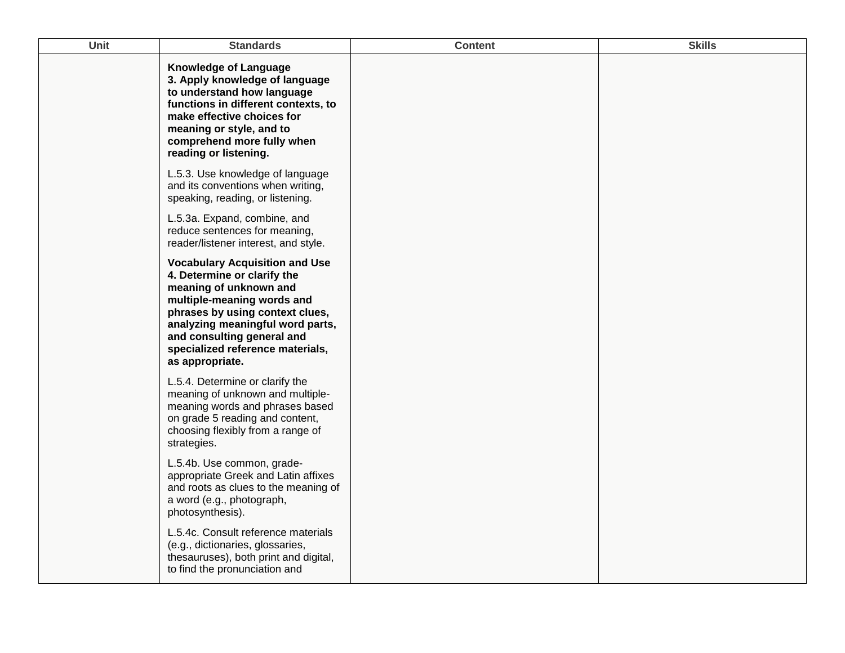| Unit | <b>Standards</b>                                                                                                                                                                                                                                                                         | <b>Content</b> | <b>Skills</b> |
|------|------------------------------------------------------------------------------------------------------------------------------------------------------------------------------------------------------------------------------------------------------------------------------------------|----------------|---------------|
|      | <b>Knowledge of Language</b><br>3. Apply knowledge of language<br>to understand how language<br>functions in different contexts, to<br>make effective choices for<br>meaning or style, and to<br>comprehend more fully when<br>reading or listening.                                     |                |               |
|      | L.5.3. Use knowledge of language<br>and its conventions when writing,<br>speaking, reading, or listening.                                                                                                                                                                                |                |               |
|      | L.5.3a. Expand, combine, and<br>reduce sentences for meaning,<br>reader/listener interest, and style.                                                                                                                                                                                    |                |               |
|      | <b>Vocabulary Acquisition and Use</b><br>4. Determine or clarify the<br>meaning of unknown and<br>multiple-meaning words and<br>phrases by using context clues,<br>analyzing meaningful word parts,<br>and consulting general and<br>specialized reference materials,<br>as appropriate. |                |               |
|      | L.5.4. Determine or clarify the<br>meaning of unknown and multiple-<br>meaning words and phrases based<br>on grade 5 reading and content,<br>choosing flexibly from a range of<br>strategies.                                                                                            |                |               |
|      | L.5.4b. Use common, grade-<br>appropriate Greek and Latin affixes<br>and roots as clues to the meaning of<br>a word (e.g., photograph,<br>photosynthesis).                                                                                                                               |                |               |
|      | L.5.4c. Consult reference materials<br>(e.g., dictionaries, glossaries,<br>thesauruses), both print and digital,<br>to find the pronunciation and                                                                                                                                        |                |               |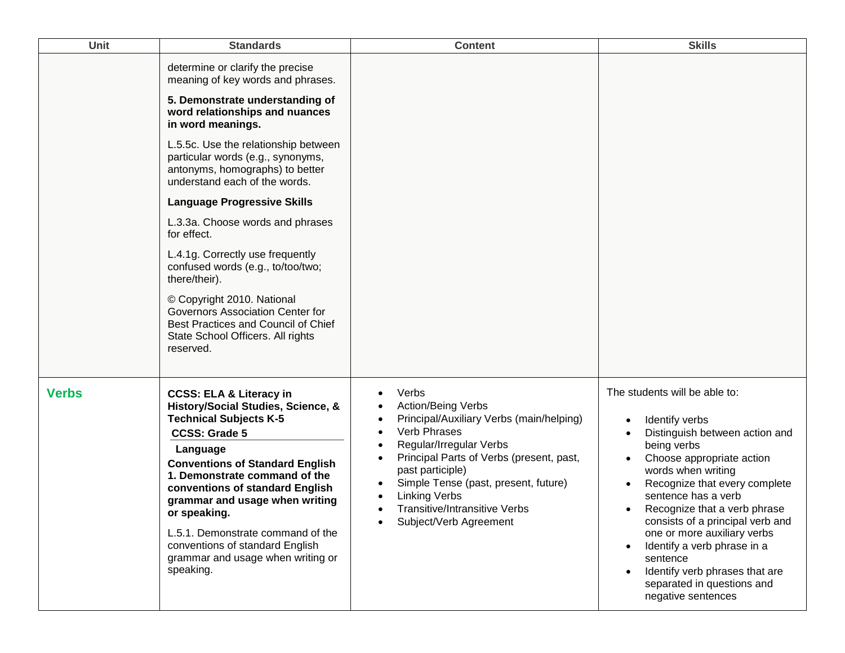| Unit         | <b>Standards</b>                                                                                                                                                                                                                                                                                                                                                                                                                                                                                                                                                                                                                                               | <b>Content</b>                                                                                                                                                                                                                                                                                                                                               | <b>Skills</b>                                                                                                                                                                                                                                                                                                                                                                                                                                   |
|--------------|----------------------------------------------------------------------------------------------------------------------------------------------------------------------------------------------------------------------------------------------------------------------------------------------------------------------------------------------------------------------------------------------------------------------------------------------------------------------------------------------------------------------------------------------------------------------------------------------------------------------------------------------------------------|--------------------------------------------------------------------------------------------------------------------------------------------------------------------------------------------------------------------------------------------------------------------------------------------------------------------------------------------------------------|-------------------------------------------------------------------------------------------------------------------------------------------------------------------------------------------------------------------------------------------------------------------------------------------------------------------------------------------------------------------------------------------------------------------------------------------------|
|              | determine or clarify the precise<br>meaning of key words and phrases.<br>5. Demonstrate understanding of<br>word relationships and nuances<br>in word meanings.<br>L.5.5c. Use the relationship between<br>particular words (e.g., synonyms,<br>antonyms, homographs) to better<br>understand each of the words.<br><b>Language Progressive Skills</b><br>L.3.3a. Choose words and phrases<br>for effect.<br>L.4.1g. Correctly use frequently<br>confused words (e.g., to/too/two;<br>there/their).<br>© Copyright 2010. National<br>Governors Association Center for<br>Best Practices and Council of Chief<br>State School Officers. All rights<br>reserved. |                                                                                                                                                                                                                                                                                                                                                              |                                                                                                                                                                                                                                                                                                                                                                                                                                                 |
| <b>Verbs</b> | <b>CCSS: ELA &amp; Literacy in</b><br>History/Social Studies, Science, &<br><b>Technical Subjects K-5</b><br><b>CCSS: Grade 5</b><br>Language<br><b>Conventions of Standard English</b><br>1. Demonstrate command of the<br>conventions of standard English<br>grammar and usage when writing<br>or speaking.<br>L.5.1. Demonstrate command of the<br>conventions of standard English<br>grammar and usage when writing or<br>speaking.                                                                                                                                                                                                                        | Verbs<br><b>Action/Being Verbs</b><br>Principal/Auxiliary Verbs (main/helping)<br><b>Verb Phrases</b><br>$\bullet$<br>Regular/Irregular Verbs<br>Principal Parts of Verbs (present, past,<br>$\bullet$<br>past participle)<br>Simple Tense (past, present, future)<br><b>Linking Verbs</b><br><b>Transitive/Intransitive Verbs</b><br>Subject/Verb Agreement | The students will be able to:<br>Identify verbs<br>Distinguish between action and<br>being verbs<br>Choose appropriate action<br>words when writing<br>Recognize that every complete<br>sentence has a verb<br>Recognize that a verb phrase<br>consists of a principal verb and<br>one or more auxiliary verbs<br>Identify a verb phrase in a<br>sentence<br>Identify verb phrases that are<br>separated in questions and<br>negative sentences |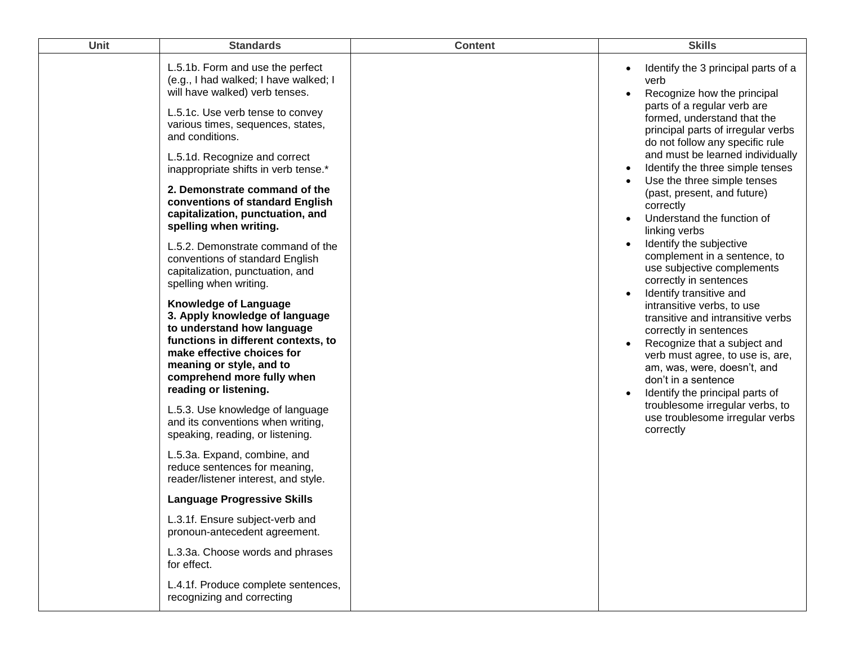| Unit | <b>Standards</b>                                                                                                                                                                                                                                     | <b>Content</b> | <b>Skills</b>                                                                                                                                                                                                                                                                                                                                                                                                                                                                           |
|------|------------------------------------------------------------------------------------------------------------------------------------------------------------------------------------------------------------------------------------------------------|----------------|-----------------------------------------------------------------------------------------------------------------------------------------------------------------------------------------------------------------------------------------------------------------------------------------------------------------------------------------------------------------------------------------------------------------------------------------------------------------------------------------|
|      | L.5.1b. Form and use the perfect<br>(e.g., I had walked; I have walked; I<br>will have walked) verb tenses.<br>L.5.1c. Use verb tense to convey<br>various times, sequences, states,<br>and conditions.                                              |                | Identify the 3 principal parts of a<br>verb<br>Recognize how the principal<br>$\bullet$<br>parts of a regular verb are<br>formed, understand that the<br>principal parts of irregular verbs<br>do not follow any specific rule<br>and must be learned individually                                                                                                                                                                                                                      |
|      | L.5.1d. Recognize and correct<br>inappropriate shifts in verb tense.*                                                                                                                                                                                |                | Identify the three simple tenses<br>Use the three simple tenses                                                                                                                                                                                                                                                                                                                                                                                                                         |
|      | 2. Demonstrate command of the<br>conventions of standard English<br>capitalization, punctuation, and<br>spelling when writing.                                                                                                                       |                | (past, present, and future)<br>correctly<br>Understand the function of<br>linking verbs                                                                                                                                                                                                                                                                                                                                                                                                 |
|      | L.5.2. Demonstrate command of the<br>conventions of standard English<br>capitalization, punctuation, and<br>spelling when writing.                                                                                                                   |                | Identify the subjective<br>complement in a sentence, to<br>use subjective complements<br>correctly in sentences<br>Identify transitive and<br>intransitive verbs, to use<br>transitive and intransitive verbs<br>correctly in sentences<br>Recognize that a subject and<br>verb must agree, to use is, are,<br>am, was, were, doesn't, and<br>don't in a sentence<br>Identify the principal parts of<br>troublesome irregular verbs, to<br>use troublesome irregular verbs<br>correctly |
|      | <b>Knowledge of Language</b><br>3. Apply knowledge of language<br>to understand how language<br>functions in different contexts, to<br>make effective choices for<br>meaning or style, and to<br>comprehend more fully when<br>reading or listening. |                |                                                                                                                                                                                                                                                                                                                                                                                                                                                                                         |
|      | L.5.3. Use knowledge of language<br>and its conventions when writing,<br>speaking, reading, or listening.                                                                                                                                            |                |                                                                                                                                                                                                                                                                                                                                                                                                                                                                                         |
|      | L.5.3a. Expand, combine, and<br>reduce sentences for meaning,<br>reader/listener interest, and style.                                                                                                                                                |                |                                                                                                                                                                                                                                                                                                                                                                                                                                                                                         |
|      | <b>Language Progressive Skills</b>                                                                                                                                                                                                                   |                |                                                                                                                                                                                                                                                                                                                                                                                                                                                                                         |
|      | L.3.1f. Ensure subject-verb and<br>pronoun-antecedent agreement.                                                                                                                                                                                     |                |                                                                                                                                                                                                                                                                                                                                                                                                                                                                                         |
|      | L.3.3a. Choose words and phrases<br>for effect.                                                                                                                                                                                                      |                |                                                                                                                                                                                                                                                                                                                                                                                                                                                                                         |
|      | L.4.1f. Produce complete sentences,<br>recognizing and correcting                                                                                                                                                                                    |                |                                                                                                                                                                                                                                                                                                                                                                                                                                                                                         |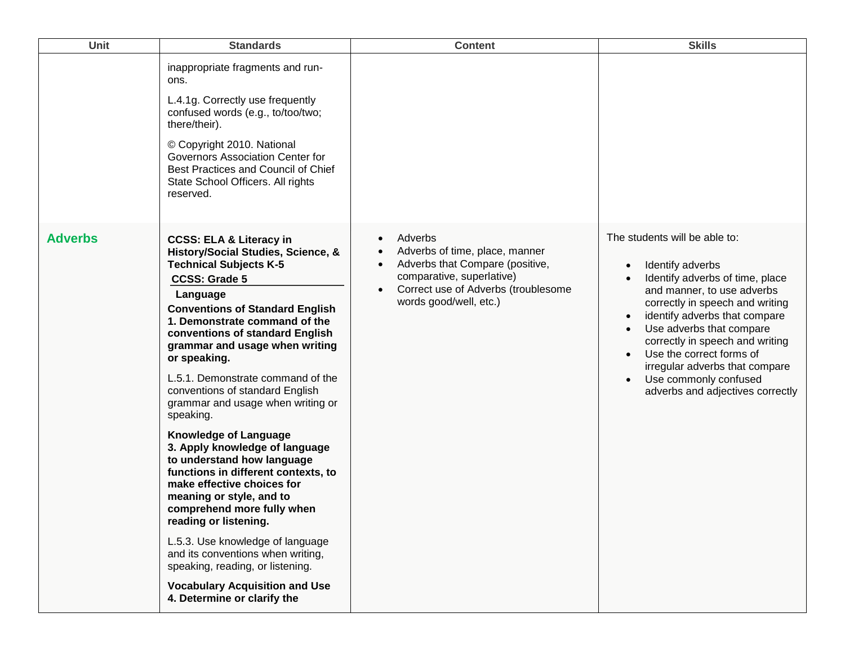| <b>Unit</b>    | <b>Standards</b>                                                                                                                                                                                                                                                                                                                                                                                                                                                                                                                                                                                                                                                                                                                                                                                                                                                                     | <b>Content</b>                                                                                                                                                                                                                 | <b>Skills</b>                                                                                                                                                                                                                                                                                                                                                                                 |
|----------------|--------------------------------------------------------------------------------------------------------------------------------------------------------------------------------------------------------------------------------------------------------------------------------------------------------------------------------------------------------------------------------------------------------------------------------------------------------------------------------------------------------------------------------------------------------------------------------------------------------------------------------------------------------------------------------------------------------------------------------------------------------------------------------------------------------------------------------------------------------------------------------------|--------------------------------------------------------------------------------------------------------------------------------------------------------------------------------------------------------------------------------|-----------------------------------------------------------------------------------------------------------------------------------------------------------------------------------------------------------------------------------------------------------------------------------------------------------------------------------------------------------------------------------------------|
|                | inappropriate fragments and run-<br>ons.<br>L.4.1g. Correctly use frequently<br>confused words (e.g., to/too/two;<br>there/their).<br>© Copyright 2010. National<br>Governors Association Center for<br>Best Practices and Council of Chief<br>State School Officers. All rights<br>reserved.                                                                                                                                                                                                                                                                                                                                                                                                                                                                                                                                                                                        |                                                                                                                                                                                                                                |                                                                                                                                                                                                                                                                                                                                                                                               |
| <b>Adverbs</b> | <b>CCSS: ELA &amp; Literacy in</b><br>History/Social Studies, Science, &<br><b>Technical Subjects K-5</b><br><b>CCSS: Grade 5</b><br>Language<br><b>Conventions of Standard English</b><br>1. Demonstrate command of the<br>conventions of standard English<br>grammar and usage when writing<br>or speaking.<br>L.5.1. Demonstrate command of the<br>conventions of standard English<br>grammar and usage when writing or<br>speaking.<br><b>Knowledge of Language</b><br>3. Apply knowledge of language<br>to understand how language<br>functions in different contexts, to<br>make effective choices for<br>meaning or style, and to<br>comprehend more fully when<br>reading or listening.<br>L.5.3. Use knowledge of language<br>and its conventions when writing,<br>speaking, reading, or listening.<br><b>Vocabulary Acquisition and Use</b><br>4. Determine or clarify the | Adverbs<br>$\bullet$<br>Adverbs of time, place, manner<br>$\bullet$<br>Adverbs that Compare (positive,<br>$\bullet$<br>comparative, superlative)<br>Correct use of Adverbs (troublesome<br>$\bullet$<br>words good/well, etc.) | The students will be able to:<br>Identify adverbs<br>$\bullet$<br>Identify adverbs of time, place<br>and manner, to use adverbs<br>correctly in speech and writing<br>identify adverbs that compare<br>Use adverbs that compare<br>correctly in speech and writing<br>Use the correct forms of<br>irregular adverbs that compare<br>Use commonly confused<br>adverbs and adjectives correctly |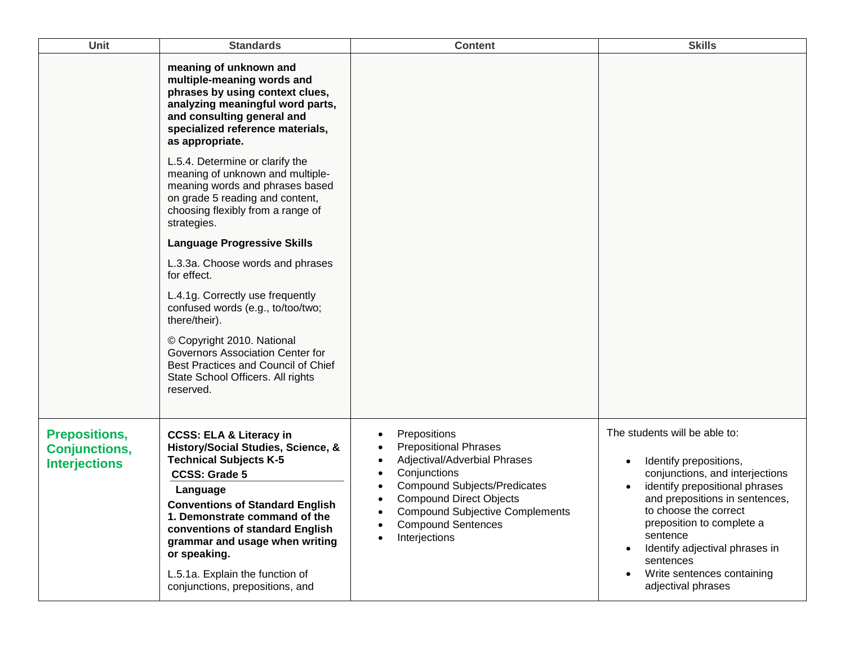| <b>Unit</b>                                                          | <b>Standards</b>                                                                                                                                                                                                                                                                                                                                                                    | <b>Content</b>                                                                                                                                                                                                                                                | <b>Skills</b>                                                                                                                                                                                                                                                                                                                                    |
|----------------------------------------------------------------------|-------------------------------------------------------------------------------------------------------------------------------------------------------------------------------------------------------------------------------------------------------------------------------------------------------------------------------------------------------------------------------------|---------------------------------------------------------------------------------------------------------------------------------------------------------------------------------------------------------------------------------------------------------------|--------------------------------------------------------------------------------------------------------------------------------------------------------------------------------------------------------------------------------------------------------------------------------------------------------------------------------------------------|
|                                                                      | meaning of unknown and<br>multiple-meaning words and<br>phrases by using context clues,<br>analyzing meaningful word parts,<br>and consulting general and<br>specialized reference materials,<br>as appropriate.                                                                                                                                                                    |                                                                                                                                                                                                                                                               |                                                                                                                                                                                                                                                                                                                                                  |
|                                                                      | L.5.4. Determine or clarify the<br>meaning of unknown and multiple-<br>meaning words and phrases based<br>on grade 5 reading and content,<br>choosing flexibly from a range of<br>strategies.                                                                                                                                                                                       |                                                                                                                                                                                                                                                               |                                                                                                                                                                                                                                                                                                                                                  |
|                                                                      | <b>Language Progressive Skills</b>                                                                                                                                                                                                                                                                                                                                                  |                                                                                                                                                                                                                                                               |                                                                                                                                                                                                                                                                                                                                                  |
|                                                                      | L.3.3a. Choose words and phrases<br>for effect.                                                                                                                                                                                                                                                                                                                                     |                                                                                                                                                                                                                                                               |                                                                                                                                                                                                                                                                                                                                                  |
|                                                                      | L.4.1g. Correctly use frequently<br>confused words (e.g., to/too/two;<br>there/their).                                                                                                                                                                                                                                                                                              |                                                                                                                                                                                                                                                               |                                                                                                                                                                                                                                                                                                                                                  |
|                                                                      | © Copyright 2010. National<br>Governors Association Center for<br>Best Practices and Council of Chief<br>State School Officers. All rights<br>reserved.                                                                                                                                                                                                                             |                                                                                                                                                                                                                                                               |                                                                                                                                                                                                                                                                                                                                                  |
| <b>Prepositions,</b><br><b>Conjunctions,</b><br><b>Interjections</b> | <b>CCSS: ELA &amp; Literacy in</b><br>History/Social Studies, Science, &<br><b>Technical Subjects K-5</b><br><b>CCSS: Grade 5</b><br>Language<br><b>Conventions of Standard English</b><br>1. Demonstrate command of the<br>conventions of standard English<br>grammar and usage when writing<br>or speaking.<br>L.5.1a. Explain the function of<br>conjunctions, prepositions, and | Prepositions<br><b>Prepositional Phrases</b><br>Adjectival/Adverbial Phrases<br>Conjunctions<br><b>Compound Subjects/Predicates</b><br><b>Compound Direct Objects</b><br><b>Compound Subjective Complements</b><br><b>Compound Sentences</b><br>Interjections | The students will be able to:<br>Identify prepositions,<br>$\bullet$<br>conjunctions, and interjections<br>identify prepositional phrases<br>and prepositions in sentences,<br>to choose the correct<br>preposition to complete a<br>sentence<br>Identify adjectival phrases in<br>sentences<br>Write sentences containing<br>adjectival phrases |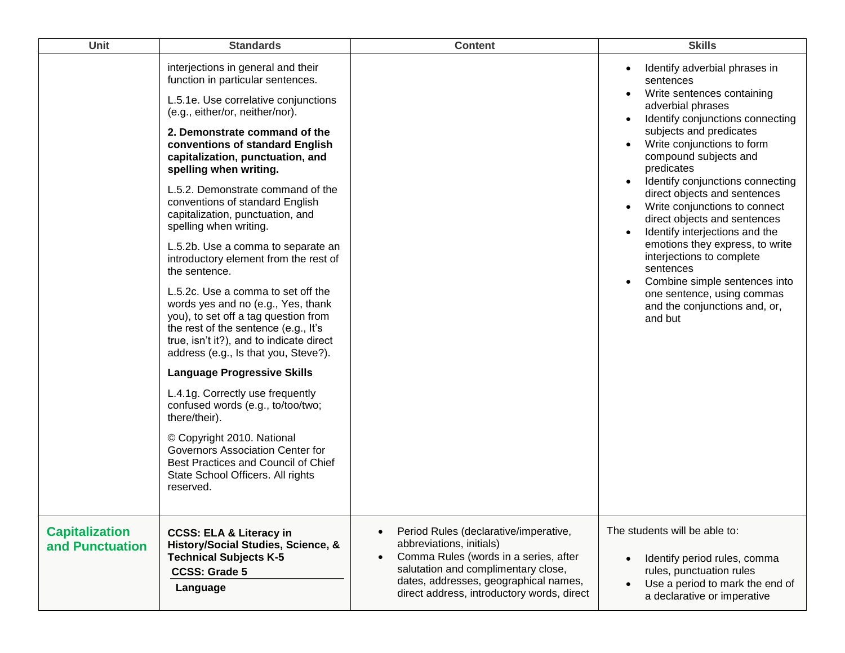| Unit                                     | <b>Standards</b>                                                                                                                                                                                                                                                                                                                                                                                                                                                                                                                                                                                                                                                                                                                                                                                                                                                                                                                                                                                                                                                      | <b>Content</b>                                                                                                                                                                                                                                                     | <b>Skills</b>                                                                                                                                                                                                                                                                                                                                                                                                                                                                                                                                                                                                                           |
|------------------------------------------|-----------------------------------------------------------------------------------------------------------------------------------------------------------------------------------------------------------------------------------------------------------------------------------------------------------------------------------------------------------------------------------------------------------------------------------------------------------------------------------------------------------------------------------------------------------------------------------------------------------------------------------------------------------------------------------------------------------------------------------------------------------------------------------------------------------------------------------------------------------------------------------------------------------------------------------------------------------------------------------------------------------------------------------------------------------------------|--------------------------------------------------------------------------------------------------------------------------------------------------------------------------------------------------------------------------------------------------------------------|-----------------------------------------------------------------------------------------------------------------------------------------------------------------------------------------------------------------------------------------------------------------------------------------------------------------------------------------------------------------------------------------------------------------------------------------------------------------------------------------------------------------------------------------------------------------------------------------------------------------------------------------|
|                                          | interjections in general and their<br>function in particular sentences.<br>L.5.1e. Use correlative conjunctions<br>(e.g., either/or, neither/nor).<br>2. Demonstrate command of the<br>conventions of standard English<br>capitalization, punctuation, and<br>spelling when writing.<br>L.5.2. Demonstrate command of the<br>conventions of standard English<br>capitalization, punctuation, and<br>spelling when writing.<br>L.5.2b. Use a comma to separate an<br>introductory element from the rest of<br>the sentence.<br>L.5.2c. Use a comma to set off the<br>words yes and no (e.g., Yes, thank<br>you), to set off a tag question from<br>the rest of the sentence (e.g., It's<br>true, isn't it?), and to indicate direct<br>address (e.g., Is that you, Steve?).<br><b>Language Progressive Skills</b><br>L.4.1g. Correctly use frequently<br>confused words (e.g., to/too/two;<br>there/their).<br>© Copyright 2010. National<br>Governors Association Center for<br>Best Practices and Council of Chief<br>State School Officers. All rights<br>reserved. |                                                                                                                                                                                                                                                                    | Identify adverbial phrases in<br>sentences<br>Write sentences containing<br>adverbial phrases<br>Identify conjunctions connecting<br>subjects and predicates<br>Write conjunctions to form<br>compound subjects and<br>predicates<br>Identify conjunctions connecting<br>$\bullet$<br>direct objects and sentences<br>Write conjunctions to connect<br>$\bullet$<br>direct objects and sentences<br>Identify interjections and the<br>emotions they express, to write<br>interjections to complete<br>sentences<br>Combine simple sentences into<br>$\bullet$<br>one sentence, using commas<br>and the conjunctions and, or,<br>and but |
| <b>Capitalization</b><br>and Punctuation | <b>CCSS: ELA &amp; Literacy in</b><br>History/Social Studies, Science, &<br><b>Technical Subjects K-5</b><br><b>CCSS: Grade 5</b><br>Language                                                                                                                                                                                                                                                                                                                                                                                                                                                                                                                                                                                                                                                                                                                                                                                                                                                                                                                         | Period Rules (declarative/imperative,<br>$\bullet$<br>abbreviations, initials)<br>Comma Rules (words in a series, after<br>$\bullet$<br>salutation and complimentary close,<br>dates, addresses, geographical names,<br>direct address, introductory words, direct | The students will be able to:<br>Identify period rules, comma<br>$\bullet$<br>rules, punctuation rules<br>Use a period to mark the end of<br>a declarative or imperative                                                                                                                                                                                                                                                                                                                                                                                                                                                                |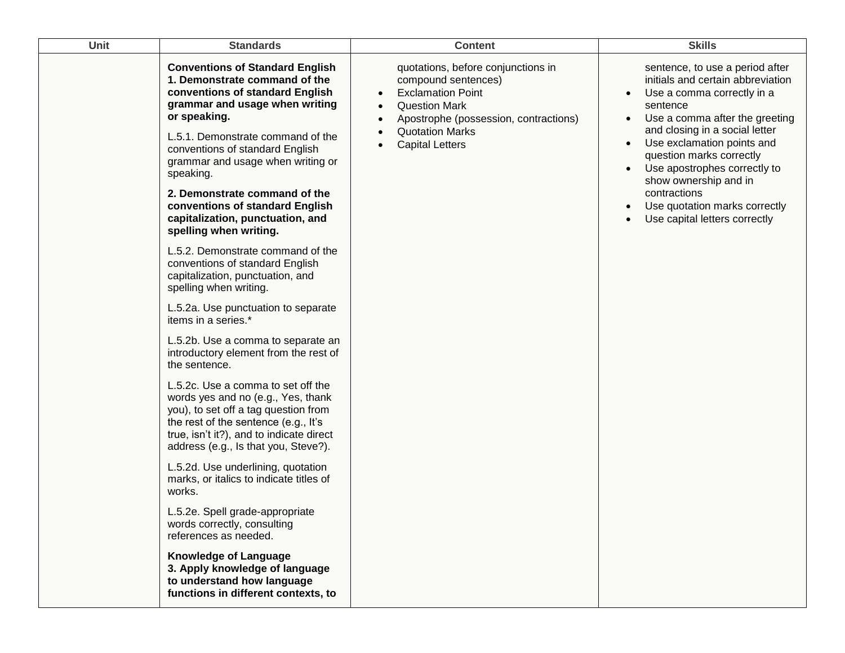| <b>Unit</b> | <b>Standards</b>                                                                                                                                                                                                                                                                       | <b>Content</b>                                                                                                                                                                                                          | <b>Skills</b>                                                                                                                                                                                                                                                                                                                                                                           |
|-------------|----------------------------------------------------------------------------------------------------------------------------------------------------------------------------------------------------------------------------------------------------------------------------------------|-------------------------------------------------------------------------------------------------------------------------------------------------------------------------------------------------------------------------|-----------------------------------------------------------------------------------------------------------------------------------------------------------------------------------------------------------------------------------------------------------------------------------------------------------------------------------------------------------------------------------------|
|             | <b>Conventions of Standard English</b><br>1. Demonstrate command of the<br>conventions of standard English<br>grammar and usage when writing<br>or speaking.<br>L.5.1. Demonstrate command of the<br>conventions of standard English<br>grammar and usage when writing or<br>speaking. | quotations, before conjunctions in<br>compound sentences)<br><b>Exclamation Point</b><br>$\bullet$<br><b>Question Mark</b><br>Apostrophe (possession, contractions)<br><b>Quotation Marks</b><br><b>Capital Letters</b> | sentence, to use a period after<br>initials and certain abbreviation<br>Use a comma correctly in a<br>sentence<br>Use a comma after the greeting<br>and closing in a social letter<br>Use exclamation points and<br>question marks correctly<br>Use apostrophes correctly to<br>show ownership and in<br>contractions<br>Use quotation marks correctly<br>Use capital letters correctly |
|             | 2. Demonstrate command of the<br>conventions of standard English<br>capitalization, punctuation, and<br>spelling when writing.                                                                                                                                                         |                                                                                                                                                                                                                         |                                                                                                                                                                                                                                                                                                                                                                                         |
|             | L.5.2. Demonstrate command of the<br>conventions of standard English<br>capitalization, punctuation, and<br>spelling when writing.                                                                                                                                                     |                                                                                                                                                                                                                         |                                                                                                                                                                                                                                                                                                                                                                                         |
|             | L.5.2a. Use punctuation to separate<br>items in a series.*                                                                                                                                                                                                                             |                                                                                                                                                                                                                         |                                                                                                                                                                                                                                                                                                                                                                                         |
|             | L.5.2b. Use a comma to separate an<br>introductory element from the rest of<br>the sentence.                                                                                                                                                                                           |                                                                                                                                                                                                                         |                                                                                                                                                                                                                                                                                                                                                                                         |
|             | L.5.2c. Use a comma to set off the<br>words yes and no (e.g., Yes, thank<br>you), to set off a tag question from<br>the rest of the sentence (e.g., It's<br>true, isn't it?), and to indicate direct<br>address (e.g., Is that you, Steve?).                                           |                                                                                                                                                                                                                         |                                                                                                                                                                                                                                                                                                                                                                                         |
|             | L.5.2d. Use underlining, quotation<br>marks, or italics to indicate titles of<br>works.                                                                                                                                                                                                |                                                                                                                                                                                                                         |                                                                                                                                                                                                                                                                                                                                                                                         |
|             | L.5.2e. Spell grade-appropriate<br>words correctly, consulting<br>references as needed.                                                                                                                                                                                                |                                                                                                                                                                                                                         |                                                                                                                                                                                                                                                                                                                                                                                         |
|             | <b>Knowledge of Language</b><br>3. Apply knowledge of language<br>to understand how language<br>functions in different contexts, to                                                                                                                                                    |                                                                                                                                                                                                                         |                                                                                                                                                                                                                                                                                                                                                                                         |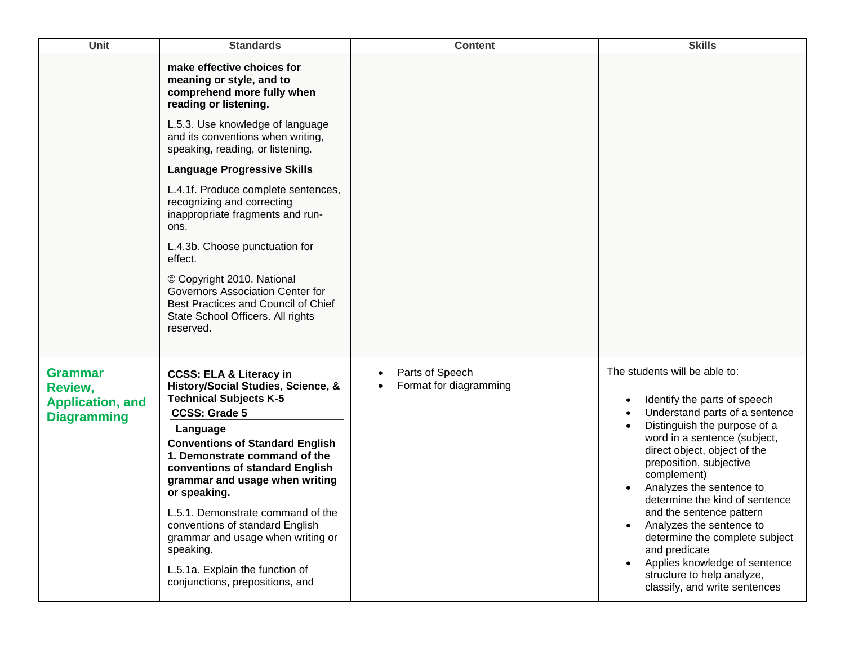| Unit                                                                | <b>Standards</b>                                                                                                                                                                                                                                                                                                                                                                                                                        | <b>Content</b>                                         | <b>Skills</b>                                                                                                                                                                                                                                                                                                                                                                                                                                                    |
|---------------------------------------------------------------------|-----------------------------------------------------------------------------------------------------------------------------------------------------------------------------------------------------------------------------------------------------------------------------------------------------------------------------------------------------------------------------------------------------------------------------------------|--------------------------------------------------------|------------------------------------------------------------------------------------------------------------------------------------------------------------------------------------------------------------------------------------------------------------------------------------------------------------------------------------------------------------------------------------------------------------------------------------------------------------------|
|                                                                     | make effective choices for<br>meaning or style, and to<br>comprehend more fully when<br>reading or listening.                                                                                                                                                                                                                                                                                                                           |                                                        |                                                                                                                                                                                                                                                                                                                                                                                                                                                                  |
|                                                                     | L.5.3. Use knowledge of language<br>and its conventions when writing,<br>speaking, reading, or listening.                                                                                                                                                                                                                                                                                                                               |                                                        |                                                                                                                                                                                                                                                                                                                                                                                                                                                                  |
|                                                                     | <b>Language Progressive Skills</b>                                                                                                                                                                                                                                                                                                                                                                                                      |                                                        |                                                                                                                                                                                                                                                                                                                                                                                                                                                                  |
|                                                                     | L.4.1f. Produce complete sentences,<br>recognizing and correcting<br>inappropriate fragments and run-<br>ons.                                                                                                                                                                                                                                                                                                                           |                                                        |                                                                                                                                                                                                                                                                                                                                                                                                                                                                  |
|                                                                     | L.4.3b. Choose punctuation for<br>effect.                                                                                                                                                                                                                                                                                                                                                                                               |                                                        |                                                                                                                                                                                                                                                                                                                                                                                                                                                                  |
|                                                                     | © Copyright 2010. National<br>Governors Association Center for<br>Best Practices and Council of Chief<br>State School Officers. All rights<br>reserved.                                                                                                                                                                                                                                                                                 |                                                        |                                                                                                                                                                                                                                                                                                                                                                                                                                                                  |
| Grammar<br>Review,<br><b>Application, and</b><br><b>Diagramming</b> | <b>CCSS: ELA &amp; Literacy in</b><br>History/Social Studies, Science, &<br><b>Technical Subjects K-5</b><br><b>CCSS: Grade 5</b><br>Language<br><b>Conventions of Standard English</b><br>1. Demonstrate command of the<br>conventions of standard English<br>grammar and usage when writing<br>or speaking.<br>L.5.1. Demonstrate command of the<br>conventions of standard English<br>grammar and usage when writing or<br>speaking. | Parts of Speech<br>$\bullet$<br>Format for diagramming | The students will be able to:<br>Identify the parts of speech<br>$\bullet$<br>Understand parts of a sentence<br>Distinguish the purpose of a<br>word in a sentence (subject,<br>direct object, object of the<br>preposition, subjective<br>complement)<br>Analyzes the sentence to<br>determine the kind of sentence<br>and the sentence pattern<br>Analyzes the sentence to<br>determine the complete subject<br>and predicate<br>Applies knowledge of sentence |
|                                                                     | L.5.1a. Explain the function of<br>conjunctions, prepositions, and                                                                                                                                                                                                                                                                                                                                                                      |                                                        | $\bullet$<br>structure to help analyze,<br>classify, and write sentences                                                                                                                                                                                                                                                                                                                                                                                         |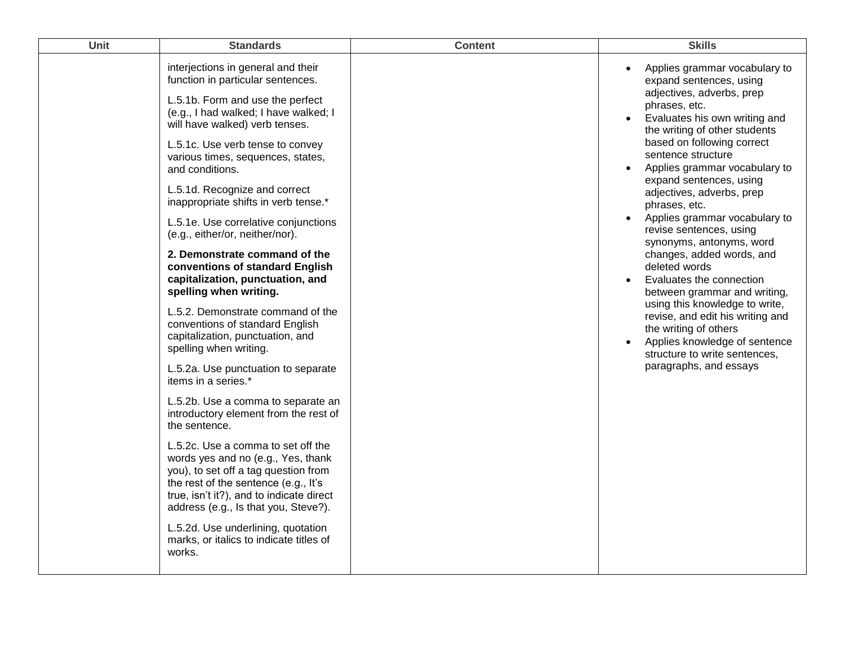| Unit | <b>Standards</b>                                                                                                                                                                                                                                                | <b>Content</b> | <b>Skills</b>                                                                                                                                                                                                                                                                                                                                                           |
|------|-----------------------------------------------------------------------------------------------------------------------------------------------------------------------------------------------------------------------------------------------------------------|----------------|-------------------------------------------------------------------------------------------------------------------------------------------------------------------------------------------------------------------------------------------------------------------------------------------------------------------------------------------------------------------------|
|      | interjections in general and their<br>function in particular sentences.<br>L.5.1b. Form and use the perfect<br>(e.g., I had walked; I have walked; I<br>will have walked) verb tenses.<br>L.5.1c. Use verb tense to convey<br>various times, sequences, states, |                | Applies grammar vocabulary to<br>expand sentences, using<br>adjectives, adverbs, prep<br>phrases, etc.<br>Evaluates his own writing and<br>the writing of other students<br>based on following correct<br>sentence structure<br>Applies grammar vocabulary to<br>expand sentences, using<br>adjectives, adverbs, prep<br>phrases, etc.<br>Applies grammar vocabulary to |
|      | and conditions.<br>L.5.1d. Recognize and correct<br>inappropriate shifts in verb tense.*                                                                                                                                                                        |                |                                                                                                                                                                                                                                                                                                                                                                         |
|      | L.5.1e. Use correlative conjunctions<br>(e.g., either/or, neither/nor).                                                                                                                                                                                         |                | revise sentences, using                                                                                                                                                                                                                                                                                                                                                 |
|      | 2. Demonstrate command of the<br>conventions of standard English<br>capitalization, punctuation, and<br>spelling when writing.                                                                                                                                  |                | synonyms, antonyms, word<br>changes, added words, and<br>deleted words<br>Evaluates the connection<br>between grammar and writing,<br>using this knowledge to write,<br>revise, and edit his writing and<br>the writing of others<br>Applies knowledge of sentence<br>structure to write sentences,<br>paragraphs, and essays                                           |
|      | L.5.2. Demonstrate command of the<br>conventions of standard English<br>capitalization, punctuation, and<br>spelling when writing.                                                                                                                              |                |                                                                                                                                                                                                                                                                                                                                                                         |
|      | L.5.2a. Use punctuation to separate<br>items in a series.*                                                                                                                                                                                                      |                |                                                                                                                                                                                                                                                                                                                                                                         |
|      | L.5.2b. Use a comma to separate an<br>introductory element from the rest of<br>the sentence.                                                                                                                                                                    |                |                                                                                                                                                                                                                                                                                                                                                                         |
|      | L.5.2c. Use a comma to set off the<br>words yes and no (e.g., Yes, thank<br>you), to set off a tag question from<br>the rest of the sentence (e.g., It's<br>true, isn't it?), and to indicate direct<br>address (e.g., Is that you, Steve?).                    |                |                                                                                                                                                                                                                                                                                                                                                                         |
|      | L.5.2d. Use underlining, quotation<br>marks, or italics to indicate titles of<br>works.                                                                                                                                                                         |                |                                                                                                                                                                                                                                                                                                                                                                         |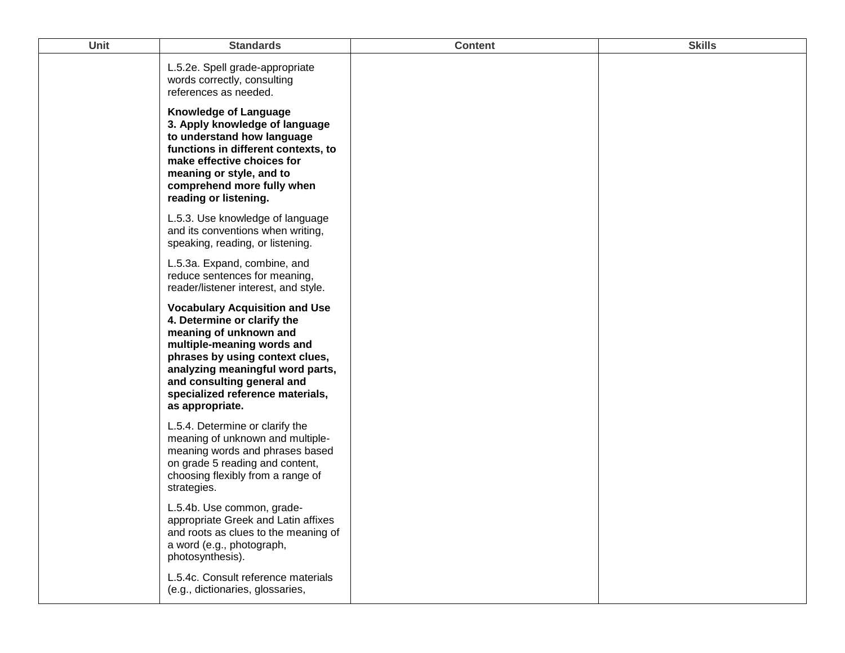| <b>Unit</b> | <b>Standards</b>                                                                                                                                                                                                                                                                         | <b>Content</b> | <b>Skills</b> |
|-------------|------------------------------------------------------------------------------------------------------------------------------------------------------------------------------------------------------------------------------------------------------------------------------------------|----------------|---------------|
|             | L.5.2e. Spell grade-appropriate<br>words correctly, consulting<br>references as needed.                                                                                                                                                                                                  |                |               |
|             | <b>Knowledge of Language</b><br>3. Apply knowledge of language<br>to understand how language<br>functions in different contexts, to<br>make effective choices for<br>meaning or style, and to<br>comprehend more fully when<br>reading or listening.                                     |                |               |
|             | L.5.3. Use knowledge of language<br>and its conventions when writing,<br>speaking, reading, or listening.                                                                                                                                                                                |                |               |
|             | L.5.3a. Expand, combine, and<br>reduce sentences for meaning,<br>reader/listener interest, and style.                                                                                                                                                                                    |                |               |
|             | <b>Vocabulary Acquisition and Use</b><br>4. Determine or clarify the<br>meaning of unknown and<br>multiple-meaning words and<br>phrases by using context clues,<br>analyzing meaningful word parts,<br>and consulting general and<br>specialized reference materials,<br>as appropriate. |                |               |
|             | L.5.4. Determine or clarify the<br>meaning of unknown and multiple-<br>meaning words and phrases based<br>on grade 5 reading and content,<br>choosing flexibly from a range of<br>strategies.                                                                                            |                |               |
|             | L.5.4b. Use common, grade-<br>appropriate Greek and Latin affixes<br>and roots as clues to the meaning of<br>a word (e.g., photograph,<br>photosynthesis).                                                                                                                               |                |               |
|             | L.5.4c. Consult reference materials<br>(e.g., dictionaries, glossaries,                                                                                                                                                                                                                  |                |               |